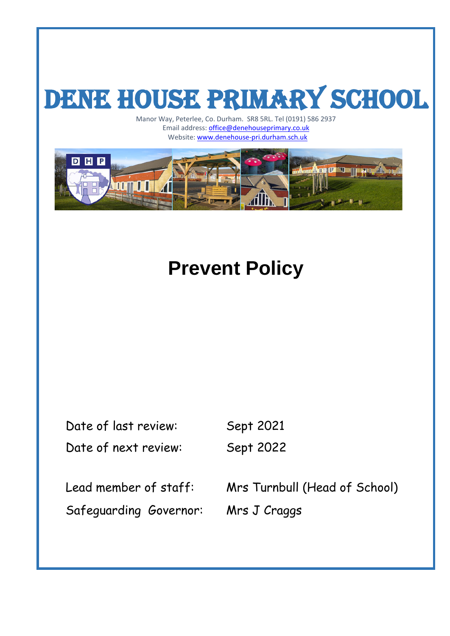# DENE HOUSE PRIMARY SCHOOL

Manor Way, Peterlee, Co. Durham. SR8 5RL. Tel (0191) 586 2937 Email address: **office@denehouseprimary.co.uk** ay, Peterlee, Co. Durham. SNS SNL. Ter (0191) Schemal address: **office@denehouseprimary.co.uk**<br>Website: [www.denehouse-pri.durham.sch.uk](http://www.denehouse-pri.durham.sch.uk/)



# **Prevent Policy**

| Date of last review:   | Sept 2021                     |
|------------------------|-------------------------------|
| Date of next review:   | Sept 2022                     |
| Lead member of staff:  | Mrs Turnbull (Head of School) |
| Safeguarding Governor: | Mrs J Craggs                  |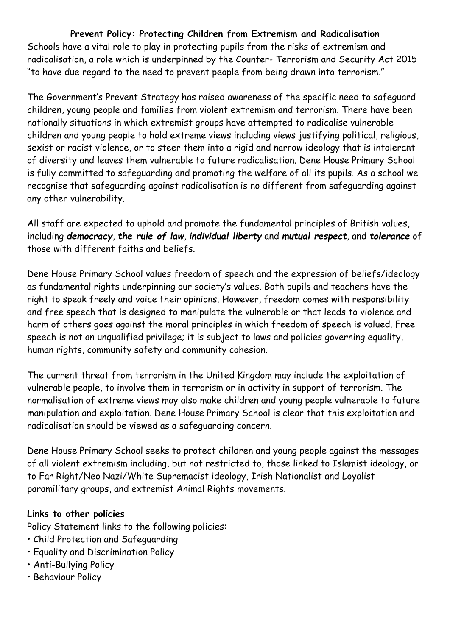# **Prevent Policy: Protecting Children from Extremism and Radicalisation**

Schools have a vital role to play in protecting pupils from the risks of extremism and radicalisation, a role which is underpinned by the Counter- Terrorism and Security Act 2015 "to have due regard to the need to prevent people from being drawn into terrorism."

The Government's Prevent Strategy has raised awareness of the specific need to safeguard children, young people and families from violent extremism and terrorism. There have been nationally situations in which extremist groups have attempted to radicalise vulnerable children and young people to hold extreme views including views justifying political, religious, sexist or racist violence, or to steer them into a rigid and narrow ideology that is intolerant of diversity and leaves them vulnerable to future radicalisation. Dene House Primary School is fully committed to safeguarding and promoting the welfare of all its pupils. As a school we recognise that safeguarding against radicalisation is no different from safeguarding against any other vulnerability.

All staff are expected to uphold and promote the fundamental principles of British values, including *democracy*, *the rule of law*, *individual liberty* and *mutual respect*, and *tolerance* of those with different faiths and beliefs.

Dene House Primary School values freedom of speech and the expression of beliefs/ideology as fundamental rights underpinning our society's values. Both pupils and teachers have the right to speak freely and voice their opinions. However, freedom comes with responsibility and free speech that is designed to manipulate the vulnerable or that leads to violence and harm of others goes against the moral principles in which freedom of speech is valued. Free speech is not an unqualified privilege; it is subject to laws and policies governing equality, human rights, community safety and community cohesion.

The current threat from terrorism in the United Kingdom may include the exploitation of vulnerable people, to involve them in terrorism or in activity in support of terrorism. The normalisation of extreme views may also make children and young people vulnerable to future manipulation and exploitation. Dene House Primary School is clear that this exploitation and radicalisation should be viewed as a safeguarding concern.

Dene House Primary School seeks to protect children and young people against the messages of all violent extremism including, but not restricted to, those linked to Islamist ideology, or to Far Right/Neo Nazi/White Supremacist ideology, Irish Nationalist and Loyalist paramilitary groups, and extremist Animal Rights movements.

#### **Links to other policies**

Policy Statement links to the following policies:

- Child Protection and Safeguarding
- Equality and Discrimination Policy
- Anti-Bullying Policy
- Behaviour Policy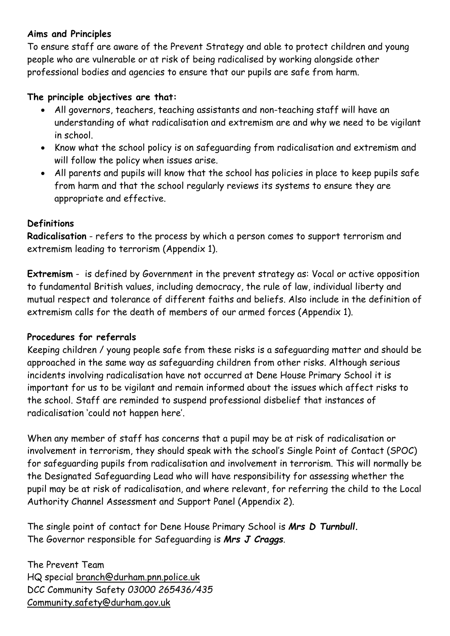# **Aims and Principles**

To ensure staff are aware of the Prevent Strategy and able to protect children and young people who are vulnerable or at risk of being radicalised by working alongside other professional bodies and agencies to ensure that our pupils are safe from harm.

# **The principle objectives are that:**

- All governors, teachers, teaching assistants and non-teaching staff will have an understanding of what radicalisation and extremism are and why we need to be vigilant in school.
- Know what the school policy is on safeguarding from radicalisation and extremism and will follow the policy when issues arise.
- All parents and pupils will know that the school has policies in place to keep pupils safe from harm and that the school regularly reviews its systems to ensure they are appropriate and effective.

# **Definitions**

**Radicalisation** - refers to the process by which a person comes to support terrorism and extremism leading to terrorism (Appendix 1).

**Extremism** - is defined by Government in the prevent strategy as: Vocal or active opposition to fundamental British values, including democracy, the rule of law, individual liberty and mutual respect and tolerance of different faiths and beliefs. Also include in the definition of extremism calls for the death of members of our armed forces (Appendix 1).

#### **Procedures for referrals**

Keeping children / young people safe from these risks is a safeguarding matter and should be approached in the same way as safeguarding children from other risks. Although serious incidents involving radicalisation have not occurred at Dene House Primary School it is important for us to be vigilant and remain informed about the issues which affect risks to the school. Staff are reminded to suspend professional disbelief that instances of radicalisation 'could not happen here'.

When any member of staff has concerns that a pupil may be at risk of radicalisation or involvement in terrorism, they should speak with the school's Single Point of Contact (SPOC) for safeguarding pupils from radicalisation and involvement in terrorism. This will normally be the Designated Safeguarding Lead who will have responsibility for assessing whether the pupil may be at risk of radicalisation, and where relevant, for referring the child to the Local Authority Channel Assessment and Support Panel (Appendix 2).

The single point of contact for Dene House Primary School is *Mrs D Turnbull.* The Governor responsible for Safeguarding is *Mrs J Craggs*.

The Prevent Team HQ special branch@durham.pnn.police.uk DCC Community Safety *03000 265436/435* Community.safety@durham.gov.uk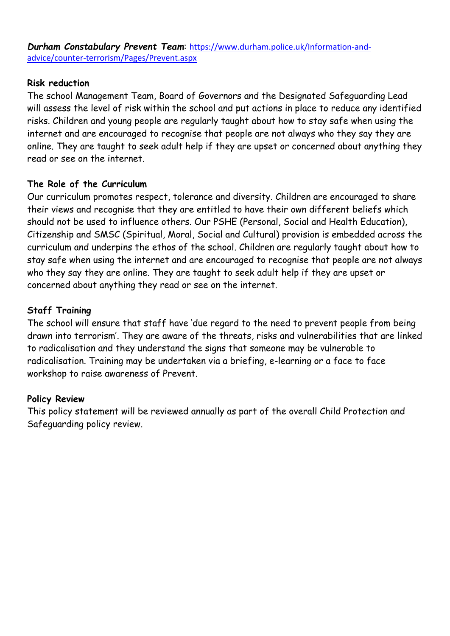*Durham Constabulary Prevent Team*: [https://www.durham.police.uk/Information-and](https://www.durham.police.uk/Information-and-advice/counter-terrorism/Pages/Prevent.aspx)[advice/counter-terrorism/Pages/Prevent.aspx](https://www.durham.police.uk/Information-and-advice/counter-terrorism/Pages/Prevent.aspx)

#### **Risk reduction**

The school Management Team, Board of Governors and the Designated Safeguarding Lead will assess the level of risk within the school and put actions in place to reduce any identified risks. Children and young people are regularly taught about how to stay safe when using the internet and are encouraged to recognise that people are not always who they say they are online. They are taught to seek adult help if they are upset or concerned about anything they read or see on the internet.

#### **The Role of the Curriculum**

Our curriculum promotes respect, tolerance and diversity. Children are encouraged to share their views and recognise that they are entitled to have their own different beliefs which should not be used to influence others. Our PSHE (Personal, Social and Health Education), Citizenship and SMSC (Spiritual, Moral, Social and Cultural) provision is embedded across the curriculum and underpins the ethos of the school. Children are regularly taught about how to stay safe when using the internet and are encouraged to recognise that people are not always who they say they are online. They are taught to seek adult help if they are upset or concerned about anything they read or see on the internet.

# **Staff Training**

The school will ensure that staff have 'due regard to the need to prevent people from being drawn into terrorism'. They are aware of the threats, risks and vulnerabilities that are linked to radicalisation and they understand the signs that someone may be vulnerable to radicalisation. Training may be undertaken via a briefing, e-learning or a face to face workshop to raise awareness of Prevent.

#### **Policy Review**

This policy statement will be reviewed annually as part of the overall Child Protection and Safeguarding policy review.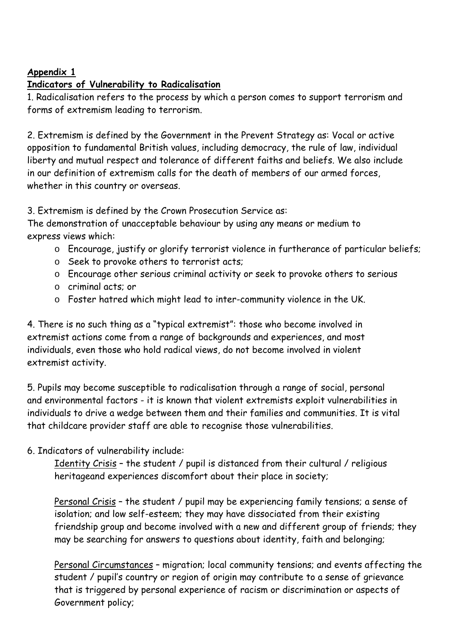# **Appendix 1**

# **Indicators of Vulnerability to Radicalisation**

1. Radicalisation refers to the process by which a person comes to support terrorism and forms of extremism leading to terrorism.

2. Extremism is defined by the Government in the Prevent Strategy as: Vocal or active opposition to fundamental British values, including democracy, the rule of law, individual liberty and mutual respect and tolerance of different faiths and beliefs. We also include in our definition of extremism calls for the death of members of our armed forces, whether in this country or overseas.

3. Extremism is defined by the Crown Prosecution Service as:

The demonstration of unacceptable behaviour by using any means or medium to express views which:

- o Encourage, justify or glorify terrorist violence in furtherance of particular beliefs;
- o Seek to provoke others to terrorist acts;
- o Encourage other serious criminal activity or seek to provoke others to serious
- o criminal acts; or
- o Foster hatred which might lead to inter-community violence in the UK.

4. There is no such thing as a "typical extremist": those who become involved in extremist actions come from a range of backgrounds and experiences, and most individuals, even those who hold radical views, do not become involved in violent extremist activity.

5. Pupils may become susceptible to radicalisation through a range of social, personal and environmental factors - it is known that violent extremists exploit vulnerabilities in individuals to drive a wedge between them and their families and communities. It is vital that childcare provider staff are able to recognise those vulnerabilities.

# 6. Indicators of vulnerability include:

Identity Crisis – the student / pupil is distanced from their cultural / religious heritageand experiences discomfort about their place in society;

Personal Crisis – the student / pupil may be experiencing family tensions; a sense of isolation; and low self-esteem; they may have dissociated from their existing friendship group and become involved with a new and different group of friends; they may be searching for answers to questions about identity, faith and belonging;

Personal Circumstances – migration; local community tensions; and events affecting the student / pupil's country or region of origin may contribute to a sense of grievance that is triggered by personal experience of racism or discrimination or aspects of Government policy;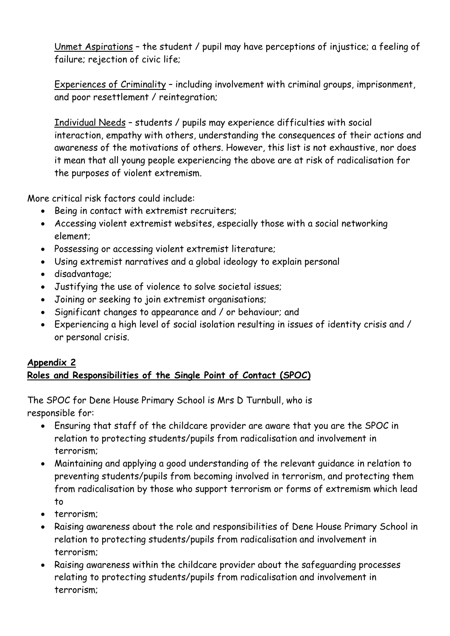Unmet Aspirations – the student / pupil may have perceptions of injustice; a feeling of failure; rejection of civic life;

Experiences of Criminality – including involvement with criminal groups, imprisonment, and poor resettlement / reintegration;

Individual Needs – students / pupils may experience difficulties with social interaction, empathy with others, understanding the consequences of their actions and awareness of the motivations of others. However, this list is not exhaustive, nor does it mean that all young people experiencing the above are at risk of radicalisation for the purposes of violent extremism.

More critical risk factors could include:

- Being in contact with extremist recruiters;
- Accessing violent extremist websites, especially those with a social networking element;
- Possessing or accessing violent extremist literature;
- Using extremist narratives and a global ideology to explain personal
- disadvantage;
- Justifying the use of violence to solve societal issues;
- Joining or seeking to join extremist organisations;
- Significant changes to appearance and / or behaviour; and
- Experiencing a high level of social isolation resulting in issues of identity crisis and / or personal crisis.

#### **Appendix 2 Roles and Responsibilities of the Single Point of Contact (SPOC)**

The SPOC for Dene House Primary School is Mrs D Turnbull, who is responsible for:

- Ensuring that staff of the childcare provider are aware that you are the SPOC in relation to protecting students/pupils from radicalisation and involvement in terrorism;
- Maintaining and applying a good understanding of the relevant guidance in relation to preventing students/pupils from becoming involved in terrorism, and protecting them from radicalisation by those who support terrorism or forms of extremism which lead to
- terrorism;
- Raising awareness about the role and responsibilities of Dene House Primary School in relation to protecting students/pupils from radicalisation and involvement in terrorism;
- Raising awareness within the childcare provider about the safeguarding processes relating to protecting students/pupils from radicalisation and involvement in terrorism;